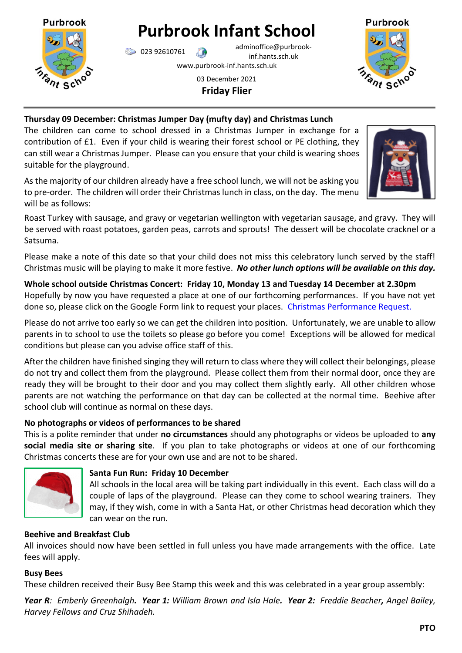

# **Purbrook Infant School**

023 92610761 adminoffice@purbrookinf.hants.sch.uk

www.purbrook-inf.hants.sch.uk

# 03 December 2021 **Friday Flier**



# **Thursday 09 December: Christmas Jumper Day (mufty day) and Christmas Lunch**

The children can come to school dressed in a Christmas Jumper in exchange for a contribution of £1. Even if your child is wearing their forest school or PE clothing, they can still wear a Christmas Jumper. Please can you ensure that your child is wearing shoes suitable for the playground.

As the majority of our children already have a free school lunch, we will not be asking you to pre-order. The children will order their Christmas lunch in class, on the day. The menu will be as follows:

Roast Turkey with sausage, and gravy or vegetarian wellington with vegetarian sausage, and gravy. They will be served with roast potatoes, garden peas, carrots and sprouts! The dessert will be chocolate cracknel or a Satsuma.

Please make a note of this date so that your child does not miss this celebratory lunch served by the staff! Christmas music will be playing to make it more festive. *No other lunch options will be available on this day.* 

**Whole school outside Christmas Concert: Friday 10, Monday 13 and Tuesday 14 December at 2.30pm** Hopefully by now you have requested a place at one of our forthcoming performances. If you have not yet done so, please click on the Google Form link to request your places. [Christmas Performance Request.](https://forms.gle/Pssd6QFjMzJADprq5)

Please do not arrive too early so we can get the children into position. Unfortunately, we are unable to allow parents in to school to use the toilets so please go before you come! Exceptions will be allowed for medical conditions but please can you advise office staff of this.

After the children have finished singing they will return to class where they will collect their belongings, please do not try and collect them from the playground. Please collect them from their normal door, once they are ready they will be brought to their door and you may collect them slightly early. All other children whose parents are not watching the performance on that day can be collected at the normal time. Beehive after school club will continue as normal on these days.

# **No photographs or videos of performances to be shared**

This is a polite reminder that under **no circumstances** should any photographs or videos be uploaded to **any social media site or sharing site**. If you plan to take photographs or videos at one of our forthcoming Christmas concerts these are for your own use and are not to be shared.



# **Santa Fun Run: Friday 10 December**

All schools in the local area will be taking part individually in this event. Each class will do a couple of laps of the playground. Please can they come to school wearing trainers. They may, if they wish, come in with a Santa Hat, or other Christmas head decoration which they can wear on the run.

# **Beehive and Breakfast Club**

All invoices should now have been settled in full unless you have made arrangements with the office. Late fees will apply.

#### **Busy Bees**

These children received their Busy Bee Stamp this week and this was celebrated in a year group assembly:

*Year R: Emberly Greenhalgh. Year 1: William Brown and Isla Hale. Year 2: Freddie Beacher, Angel Bailey, Harvey Fellows and Cruz Shihadeh.*